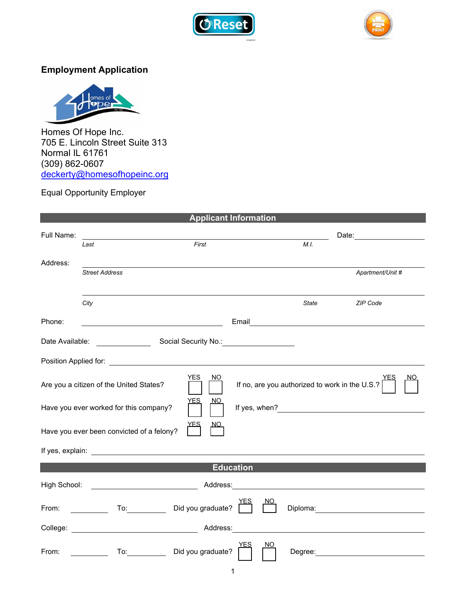



## **Employment Application**



Homes Of Hope Inc. 705 E. Lincoln Street Suite 313 Normal IL 61761 (309) 862-0607 deckerty[@homesofhopeinc.org](mailto:hrcoordinator@homesofhopeinc.org)

## Equal Opportunity Employer

| <b>Applicant Information</b>                                                                            |                                                                                                                                                                                                                                                                                                                                                                             |                                        |  |
|---------------------------------------------------------------------------------------------------------|-----------------------------------------------------------------------------------------------------------------------------------------------------------------------------------------------------------------------------------------------------------------------------------------------------------------------------------------------------------------------------|----------------------------------------|--|
| Full Name:                                                                                              |                                                                                                                                                                                                                                                                                                                                                                             |                                        |  |
|                                                                                                         | First<br>Last                                                                                                                                                                                                                                                                                                                                                               | M.I.                                   |  |
| Address:                                                                                                |                                                                                                                                                                                                                                                                                                                                                                             |                                        |  |
|                                                                                                         | <b>Street Address</b>                                                                                                                                                                                                                                                                                                                                                       | Apartment/Unit #                       |  |
|                                                                                                         |                                                                                                                                                                                                                                                                                                                                                                             |                                        |  |
|                                                                                                         | City                                                                                                                                                                                                                                                                                                                                                                        | State<br>ZIP Code                      |  |
| Phone:                                                                                                  | <u> 1989 - Johann Barn, mars eta bainar eta baina eta baina eta baina eta baina eta baina eta baina eta baina e</u>                                                                                                                                                                                                                                                         | Email <u>_________________________</u> |  |
| Social Security No.: Notational Security No.:<br>Date Available:                                        |                                                                                                                                                                                                                                                                                                                                                                             |                                        |  |
|                                                                                                         |                                                                                                                                                                                                                                                                                                                                                                             |                                        |  |
| YES<br>NO.<br>If no, are you authorized to work in the U.S.?<br>Are you a citizen of the United States? |                                                                                                                                                                                                                                                                                                                                                                             |                                        |  |
| <u>YES</u><br><u>NO</u><br>Have you ever worked for this company?                                       |                                                                                                                                                                                                                                                                                                                                                                             |                                        |  |
| Have you ever been convicted of a felony?                                                               |                                                                                                                                                                                                                                                                                                                                                                             |                                        |  |
|                                                                                                         | If yes, explain: <u>________________________________</u>                                                                                                                                                                                                                                                                                                                    |                                        |  |
| <b>Education</b>                                                                                        |                                                                                                                                                                                                                                                                                                                                                                             |                                        |  |
| <b>Example 2018 Address:</b> Address:<br>High School:                                                   |                                                                                                                                                                                                                                                                                                                                                                             |                                        |  |
| From:                                                                                                   | Did you graduate?<br>To: and the state of the state of the state of the state of the state of the state of the state of the state o<br><u>and the state of the state of the state of the state of the state of the state of the state of the state of the state of the state of the state of the state of the state of the state of the state of the state of the state</u> |                                        |  |
| <u> 1989 - John Stein, Amerikaansk politiker († 1908)</u>                                               |                                                                                                                                                                                                                                                                                                                                                                             |                                        |  |
| From:                                                                                                   | To: Did you graduate?                                                                                                                                                                                                                                                                                                                                                       | NΟ                                     |  |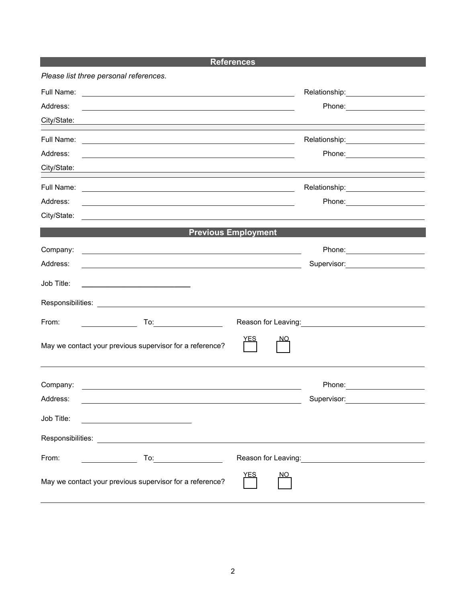| <b>References</b>                                                                                                                                                                                                                       |                                                                                                                  |  |  |
|-----------------------------------------------------------------------------------------------------------------------------------------------------------------------------------------------------------------------------------------|------------------------------------------------------------------------------------------------------------------|--|--|
| Please list three personal references.                                                                                                                                                                                                  |                                                                                                                  |  |  |
| Full Name:<br><u> 1989 - Johann Stoff, deutscher Stoffen und der Stoffen und der Stoffen und der Stoffen und der Stoffen und der</u>                                                                                                    | Relationship: 2000                                                                                               |  |  |
| Address:                                                                                                                                                                                                                                | Phone: ________________________                                                                                  |  |  |
| City/State:                                                                                                                                                                                                                             | ,我们也不会有什么。""我们的人,我们也不会有什么?""我们的人,我们也不会有什么?""我们的人,我们也不会有什么?""我们的人,我们也不会有什么?""我们的人                                 |  |  |
| Full Name:<br><u> 1988 - Andrea Branden, amerikan basar personal dan berasal dalam basar personal dan berasal dalam basar per</u>                                                                                                       | Relationship: 2000                                                                                               |  |  |
| Address:                                                                                                                                                                                                                                |                                                                                                                  |  |  |
| City/State:                                                                                                                                                                                                                             |                                                                                                                  |  |  |
| Full Name:<br>and the control of the control of the control of the control of the control of the control of the control of the                                                                                                          | Relationship: 2000                                                                                               |  |  |
| Address:                                                                                                                                                                                                                                | Phone: __________________                                                                                        |  |  |
| City/State:                                                                                                                                                                                                                             |                                                                                                                  |  |  |
|                                                                                                                                                                                                                                         | <b>Previous Employment</b>                                                                                       |  |  |
| Company:                                                                                                                                                                                                                                |                                                                                                                  |  |  |
| Address:<br><u> 1989 - Jan Samuel Barbara, margaret eta idazlea (h. 1989).</u>                                                                                                                                                          | Supervisor: <u>____________________</u>                                                                          |  |  |
| Job Title:                                                                                                                                                                                                                              |                                                                                                                  |  |  |
|                                                                                                                                                                                                                                         |                                                                                                                  |  |  |
|                                                                                                                                                                                                                                         |                                                                                                                  |  |  |
| From:<br>$\mathsf{To:}\_\_\_\_\_\_\_\_\_\_\_\_\_\_\_\_\_\_\_\_\_\_\_\_\_\_$                                                                                                                                                             |                                                                                                                  |  |  |
| May we contact your previous supervisor for a reference?                                                                                                                                                                                | <u>YES</u>                                                                                                       |  |  |
| Company:                                                                                                                                                                                                                                | Phone: __________________                                                                                        |  |  |
| Address:<br><u> 1989 - Jan Sarajević, politik i postala i postala i postala i postala i postala i postala i postala i postala</u>                                                                                                       | Supervisor: Victor Control of Control Control Control Control Control Control Control Control Control Control Co |  |  |
| Job Title:                                                                                                                                                                                                                              |                                                                                                                  |  |  |
|                                                                                                                                                                                                                                         |                                                                                                                  |  |  |
| From:<br>To: the contract of the contract of the contract of the contract of the contract of the contract of the contract of the contract of the contract of the contract of the contract of the contract of the contract of the contra |                                                                                                                  |  |  |
| May we contact your previous supervisor for a reference?                                                                                                                                                                                | <b>YES</b><br>NO.                                                                                                |  |  |